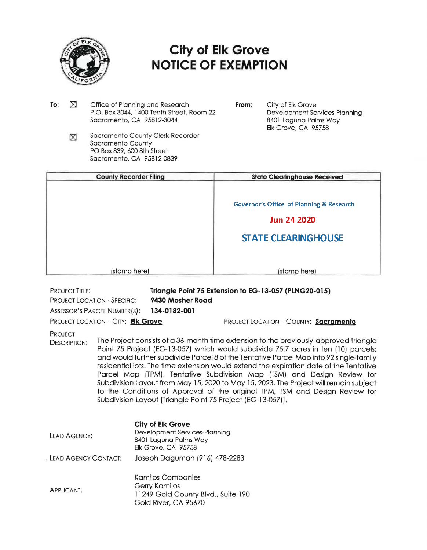

## **City of Elk Grove NOTICE OF EXEMPTION**

- To:  $\times$ Office of Planning and Research P.O. Box 3044, 1400 Tenth Street, Room 22 Sacramento, CA 95812-3044
- **From:** City of Elk Grove Development Services-Planning 8401 Laguna Palms Way Elk Grove, CA 95758
- Sacramento County Clerk-Recorder ⊠ Sacramento County PO Box 839, 600 8th Street Sacramento, CA 95812-0839

| <b>County Recorder Filing</b> | <b>State Clearinghouse Received</b>                 |
|-------------------------------|-----------------------------------------------------|
|                               | <b>Governor's Office of Planning &amp; Research</b> |
|                               | <b>Jun 24 2020</b>                                  |
|                               | <b>STATE CLEARINGHOUSE</b>                          |
|                               |                                                     |
| (stamp here)                  | (stamp here)                                        |

PROJECT TITLE: PROJECT LOCATION - SPECIFIC: **Triangle Point 75 Extension to EG-13-057 (PLNG20-015) 9430 Mosher Road** 

ASSESSOR'S PARCEL NUMBER(S): **134-0182-001** 

PROJECT LOCATION-CITY: **Elk Grove** 

PROJECT LOCATION - COUNTY: **Sacramento** 

PROJECT

DESCRIPTION: The Project consists of a 36-month time extension to the previously-approved Triangle Point 75 Project (EG-13-057) which would subdivide 75.7 acres in ten ( 10) parcels; and would further subdivide Parcel 8 of the Tentative Parcel Map into 92 single-family residential lots. The time extension would extend the expiration date of the Tentative Parcel Map (TPM), Tentative Subdivision Map (TSM) and Design Review for Subdivision Layout from May 15, 2020 to May 15, 2023. The Project will remain subject to the Conditions of Approval of the original TPM, TSM and Design Review for Subdivision Layout [Triangle Point 75 Project (EG-13-057)).

| LEAD AGENCY:           | City of Elk Grove<br>Development Services-Planning<br>8401 Laguna Palms Way<br>Elk Grove, CA 95758             |
|------------------------|----------------------------------------------------------------------------------------------------------------|
| . LEAD AGENCY CONTACT: | Joseph Daguman (916) 478-2283                                                                                  |
| <b>APPLICANT:</b>      | <b>Kamilos Companies</b><br><b>Gerry Kamilos</b><br>11249 Gold County Blvd., Suite 190<br>Gold River, CA 95670 |